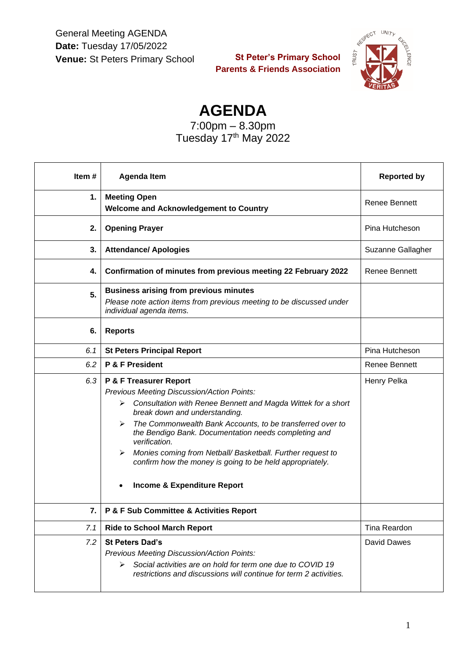General Meeting AGENDA **Date:** Tuesday 17/05/2022 **Venue:** St Peters Primary School

**St Peter's Primary School Parents & Friends Association**



**AGENDA**

7:00pm – 8.30pm Tuesday 17<sup>th</sup> May 2022

| Item# | <b>Agenda Item</b>                                                                                                                                                                                                                                                                                                                                                                                                                                                                             | <b>Reported by</b>   |
|-------|------------------------------------------------------------------------------------------------------------------------------------------------------------------------------------------------------------------------------------------------------------------------------------------------------------------------------------------------------------------------------------------------------------------------------------------------------------------------------------------------|----------------------|
| 1.    | <b>Meeting Open</b><br><b>Welcome and Acknowledgement to Country</b>                                                                                                                                                                                                                                                                                                                                                                                                                           | <b>Renee Bennett</b> |
| 2.    | <b>Opening Prayer</b>                                                                                                                                                                                                                                                                                                                                                                                                                                                                          | Pina Hutcheson       |
| 3.    | <b>Attendance/ Apologies</b>                                                                                                                                                                                                                                                                                                                                                                                                                                                                   | Suzanne Gallagher    |
| 4.    | Confirmation of minutes from previous meeting 22 February 2022                                                                                                                                                                                                                                                                                                                                                                                                                                 | <b>Renee Bennett</b> |
| 5.    | <b>Business arising from previous minutes</b><br>Please note action items from previous meeting to be discussed under<br>individual agenda items.                                                                                                                                                                                                                                                                                                                                              |                      |
| 6.    | <b>Reports</b>                                                                                                                                                                                                                                                                                                                                                                                                                                                                                 |                      |
| 6.1   | <b>St Peters Principal Report</b>                                                                                                                                                                                                                                                                                                                                                                                                                                                              | Pina Hutcheson       |
| 6.2   | P & F President                                                                                                                                                                                                                                                                                                                                                                                                                                                                                | <b>Renee Bennett</b> |
| 6.3   | P & F Treasurer Report<br>Previous Meeting Discussion/Action Points:<br>Consultation with Renee Bennett and Magda Wittek for a short<br>≻<br>break down and understanding.<br>The Commonwealth Bank Accounts, to be transferred over to<br>➤<br>the Bendigo Bank. Documentation needs completing and<br>verification.<br>Monies coming from Netball/ Basketball. Further request to<br>➤<br>confirm how the money is going to be held appropriately.<br><b>Income &amp; Expenditure Report</b> | Henry Pelka          |
| 7.    | P & F Sub Committee & Activities Report                                                                                                                                                                                                                                                                                                                                                                                                                                                        |                      |
| 7.1   | <b>Ride to School March Report</b>                                                                                                                                                                                                                                                                                                                                                                                                                                                             | Tina Reardon         |
| 7.2   | <b>St Peters Dad's</b><br>Previous Meeting Discussion/Action Points:<br>Social activities are on hold for term one due to COVID 19<br>➤<br>restrictions and discussions will continue for term 2 activities.                                                                                                                                                                                                                                                                                   | <b>David Dawes</b>   |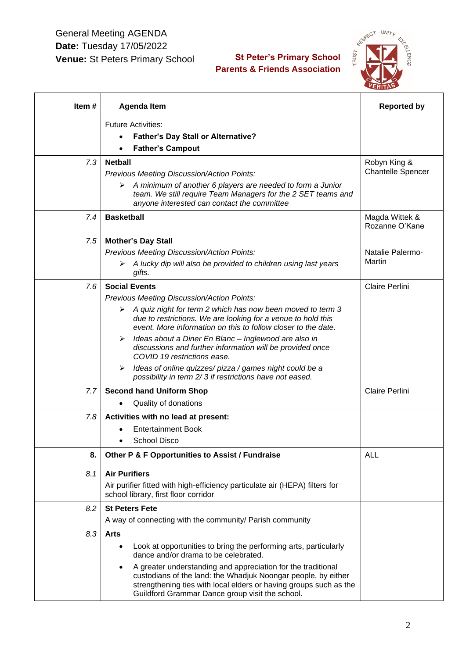## General Meeting AGENDA **Date:** Tuesday 17/05/2022 **Venue:** St Peters Primary School

## **St Peter's Primary School Parents & Friends Association**



| ltem # | <b>Agenda Item</b>                                                                                                                                                                                                                                                                                                                                                               | <b>Reported by</b>                       |
|--------|----------------------------------------------------------------------------------------------------------------------------------------------------------------------------------------------------------------------------------------------------------------------------------------------------------------------------------------------------------------------------------|------------------------------------------|
|        | <b>Future Activities:</b>                                                                                                                                                                                                                                                                                                                                                        |                                          |
|        | <b>Father's Day Stall or Alternative?</b>                                                                                                                                                                                                                                                                                                                                        |                                          |
|        | <b>Father's Campout</b>                                                                                                                                                                                                                                                                                                                                                          |                                          |
| 7.3    | <b>Netball</b><br>Previous Meeting Discussion/Action Points:<br>A minimum of another 6 players are needed to form a Junior<br>team. We still require Team Managers for the 2 SET teams and<br>anyone interested can contact the committee                                                                                                                                        | Robyn King &<br><b>Chantelle Spencer</b> |
| 7.4    | <b>Basketball</b>                                                                                                                                                                                                                                                                                                                                                                | Magda Wittek &<br>Rozanne O'Kane         |
| 7.5    | <b>Mother's Day Stall</b><br>Previous Meeting Discussion/Action Points:<br>$\triangleright$ A lucky dip will also be provided to children using last years<br>gifts.                                                                                                                                                                                                             | Natalie Palermo-<br>Martin               |
| 7.6    | <b>Social Events</b><br>Previous Meeting Discussion/Action Points:<br>$\triangleright$ A quiz night for term 2 which has now been moved to term 3<br>due to restrictions. We are looking for a venue to hold this<br>event. More information on this to follow closer to the date.                                                                                               | Claire Perlini                           |
|        | Ideas about a Diner En Blanc - Inglewood are also in<br>discussions and further information will be provided once<br>COVID 19 restrictions ease.<br>Ideas of online quizzes/ pizza / games night could be a<br>➤<br>possibility in term 2/3 if restrictions have not eased.                                                                                                      |                                          |
| 7.7    | <b>Second hand Uniform Shop</b><br>Quality of donations                                                                                                                                                                                                                                                                                                                          | Claire Perlini                           |
| 7.8    | Activities with no lead at present:<br><b>Entertainment Book</b><br>School Disco                                                                                                                                                                                                                                                                                                 |                                          |
| 8.     | Other P & F Opportunities to Assist / Fundraise                                                                                                                                                                                                                                                                                                                                  | <b>ALL</b>                               |
| 8.1    | <b>Air Purifiers</b><br>Air purifier fitted with high-efficiency particulate air (HEPA) filters for<br>school library, first floor corridor                                                                                                                                                                                                                                      |                                          |
| 8.2    | <b>St Peters Fete</b><br>A way of connecting with the community/ Parish community                                                                                                                                                                                                                                                                                                |                                          |
| 8.3    | <b>Arts</b><br>Look at opportunities to bring the performing arts, particularly<br>dance and/or drama to be celebrated.<br>A greater understanding and appreciation for the traditional<br>custodians of the land: the Whadjuk Noongar people, by either<br>strengthening ties with local elders or having groups such as the<br>Guildford Grammar Dance group visit the school. |                                          |